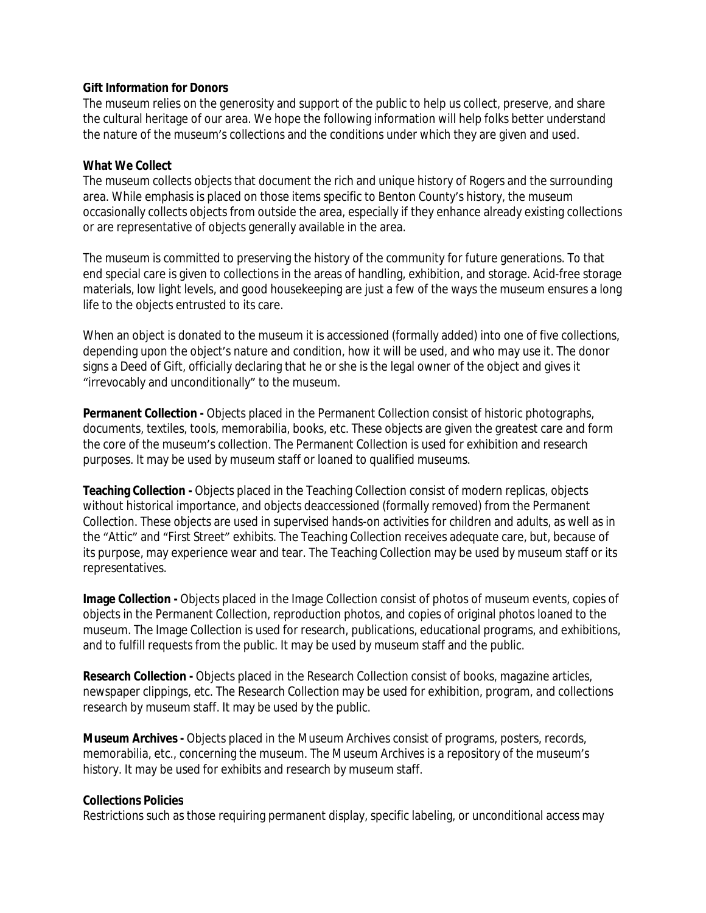## **Gift Information for Donors**

The museum relies on the generosity and support of the public to help us collect, preserve, and share the cultural heritage of our area. We hope the following information will help folks better understand the nature of the museum's collections and the conditions under which they are given and used.

## **What We Collect**

The museum collects objects that document the rich and unique history of Rogers and the surrounding area. While emphasis is placed on those items specific to Benton County's history, the museum occasionally collects objects from outside the area, especially if they enhance already existing collections or are representative of objects generally available in the area.

The museum is committed to preserving the history of the community for future generations. To that end special care is given to collections in the areas of handling, exhibition, and storage. Acid-free storage materials, low light levels, and good housekeeping are just a few of the ways the museum ensures a long life to the objects entrusted to its care.

When an object is donated to the museum it is accessioned (formally added) into one of five collections, depending upon the object's nature and condition, how it will be used, and who may use it. The donor signs a Deed of Gift, officially declaring that he or she is the legal owner of the object and gives it "irrevocably and unconditionally" to the museum.

**Permanent Collection -** Objects placed in the Permanent Collection consist of historic photographs, documents, textiles, tools, memorabilia, books, etc. These objects are given the greatest care and form the core of the museum's collection. The Permanent Collection is used for exhibition and research purposes. It may be used by museum staff or loaned to qualified museums.

**Teaching Collection -** Objects placed in the Teaching Collection consist of modern replicas, objects without historical importance, and objects deaccessioned (formally removed) from the Permanent Collection. These objects are used in supervised hands-on activities for children and adults, as well as in the "Attic" and "First Street" exhibits. The Teaching Collection receives adequate care, but, because of its purpose, may experience wear and tear. The Teaching Collection may be used by museum staff or its representatives.

**Image Collection -** Objects placed in the Image Collection consist of photos of museum events, copies of objects in the Permanent Collection, reproduction photos, and copies of original photos loaned to the museum. The Image Collection is used for research, publications, educational programs, and exhibitions, and to fulfill requests from the public. It may be used by museum staff and the public.

**Research Collection -** Objects placed in the Research Collection consist of books, magazine articles, newspaper clippings, etc. The Research Collection may be used for exhibition, program, and collections research by museum staff. It may be used by the public.

**Museum Archives -** Objects placed in the Museum Archives consist of programs, posters, records, memorabilia, etc., concerning the museum. The Museum Archives is a repository of the museum's history. It may be used for exhibits and research by museum staff.

## **Collections Policies**

Restrictions such as those requiring permanent display, specific labeling, or unconditional access may